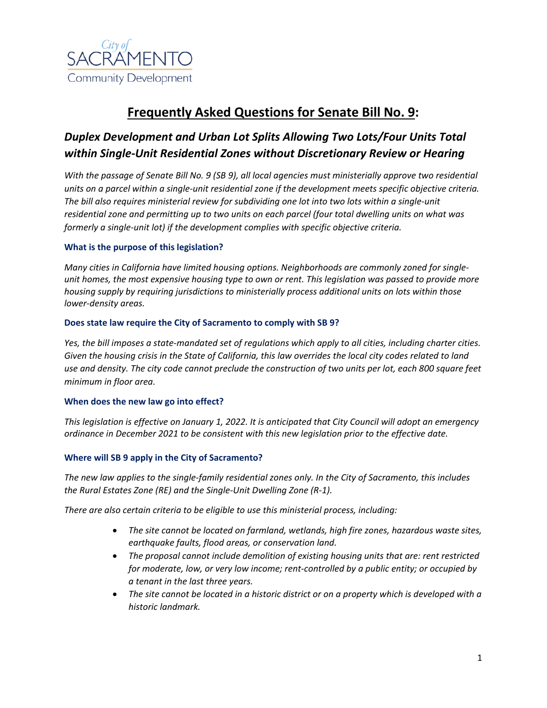

# **Frequently Asked Questions for Senate Bill No. 9:**

## *Duplex Development and Urban Lot Splits Allowing Two Lots/Four Units Total within Single-Unit Residential Zones without Discretionary Review or Hearing*

*With the passage of Senate Bill No. 9 (SB 9), all local agencies must ministerially approve two residential units on a parcel within a single-unit residential zone if the development meets specific objective criteria. The bill also requires ministerial review for subdividing one lot into two lots within a single-unit residential zone and permitting up to two units on each parcel (four total dwelling units on what was formerly a single-unit lot) if the development complies with specific objective criteria.* 

## **What is the purpose of this legislation?**

*Many cities in California have limited housing options. Neighborhoods are commonly zoned for singleunit homes, the most expensive housing type to own or rent. This legislation was passed to provide more housing supply by requiring jurisdictions to ministerially process additional units on lots within those lower-density areas.* 

## **Does state law require the City of Sacramento to comply with SB 9?**

*Yes, the bill imposes a state-mandated set of regulations which apply to all cities, including charter cities. Given the housing crisis in the State of California, this law overrides the local city codes related to land use and density. The city code cannot preclude the construction of two units per lot, each 800 square feet minimum in floor area.*

## **When does the new law go into effect?**

*This legislation is effective on January 1, 2022. It is anticipated that City Council will adopt an emergency ordinance in December 2021 to be consistent with this new legislation prior to the effective date.*

## **Where will SB 9 apply in the City of Sacramento?**

*The new law applies to the single-family residential zones only. In the City of Sacramento, this includes the Rural Estates Zone (RE) and the Single-Unit Dwelling Zone (R-1).* 

*There are also certain criteria to be eligible to use this ministerial process, including:*

- *The site cannot be located on farmland, wetlands, high fire zones, hazardous waste sites, earthquake faults, flood areas, or conservation land.*
- *The proposal cannot include demolition of existing housing units that are: rent restricted for moderate, low, or very low income; rent-controlled by a public entity; or occupied by a tenant in the last three years.*
- *The site cannot be located in a historic district or on a property which is developed with a historic landmark.*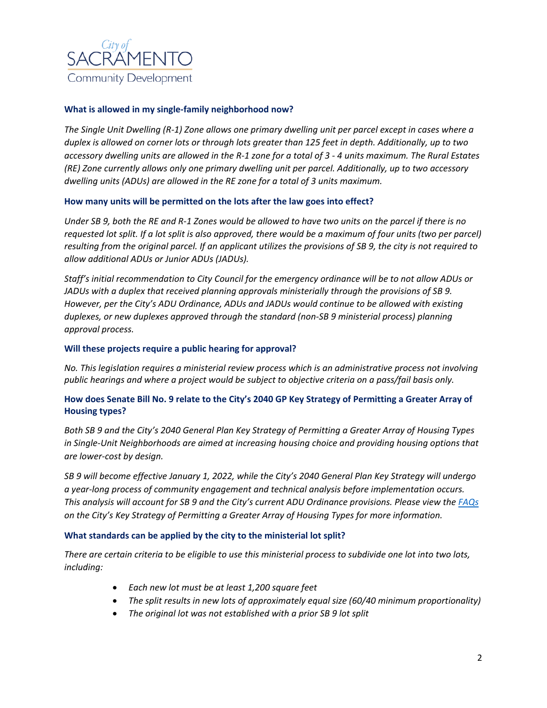

## **What is allowed in my single-family neighborhood now?**

*The Single Unit Dwelling (R-1) Zone allows one primary dwelling unit per parcel except in cases where a duplex is allowed on corner lots or through lots greater than 125 feet in depth. Additionally, up to two accessory dwelling units are allowed in the R-1 zone for a total of 3 - 4 units maximum. The Rural Estates (RE) Zone currently allows only one primary dwelling unit per parcel. Additionally, up to two accessory dwelling units (ADUs) are allowed in the RE zone for a total of 3 units maximum.*

#### **How many units will be permitted on the lots after the law goes into effect?**

*Under SB 9, both the RE and R-1 Zones would be allowed to have two units on the parcel if there is no requested lot split. If a lot split is also approved, there would be a maximum of four units (two per parcel) resulting from the original parcel. If an applicant utilizes the provisions of SB 9, the city is not required to allow additional ADUs or Junior ADUs (JADUs).*

*Staff's initial recommendation to City Council for the emergency ordinance will be to not allow ADUs or JADUs with a duplex that received planning approvals ministerially through the provisions of SB 9. However, per the City's ADU Ordinance, ADUs and JADUs would continue to be allowed with existing duplexes, or new duplexes approved through the standard (non-SB 9 ministerial process) planning approval process.*

#### **Will these projects require a public hearing for approval?**

*No. This legislation requires a ministerial review process which is an administrative process not involving public hearings and where a project would be subject to objective criteria on a pass/fail basis only.* 

## **How does Senate Bill No. 9 relate to the City's 2040 GP Key Strategy of Permitting a Greater Array of Housing types?**

*Both SB 9 and the City's 2040 General Plan Key Strategy of Permitting a Greater Array of Housing Types in Single-Unit Neighborhoods are aimed at increasing housing choice and providing housing options that are lower-cost by design.* 

*SB 9 will become effective January 1, 2022, while the City's 2040 General Plan Key Strategy will undergo a year-long process of community engagement and technical analysis before implementation occurs. This analysis will account for SB 9 and the City's current ADU Ordinance provisions. Please view the [FAQs](http://www.cityofsacramento.org/-/media/Corporate/Files/CDD/Planning/General-Plan/2040-General-Plan/Permit-a-Greater-Array-of-Housing-Types-in-Single-Unit-Neighborhoods-FAQs_V2_July-2021_Final-3.pdf?la=en) on the City's Key Strategy of Permitting a Greater Array of Housing Types for more information.*

#### **What standards can be applied by the city to the ministerial lot split?**

*There are certain criteria to be eligible to use this ministerial process to subdivide one lot into two lots, including:*

- *Each new lot must be at least 1,200 square feet*
- *The split results in new lots of approximately equal size (60/40 minimum proportionality)*
- *The original lot was not established with a prior SB 9 lot split*